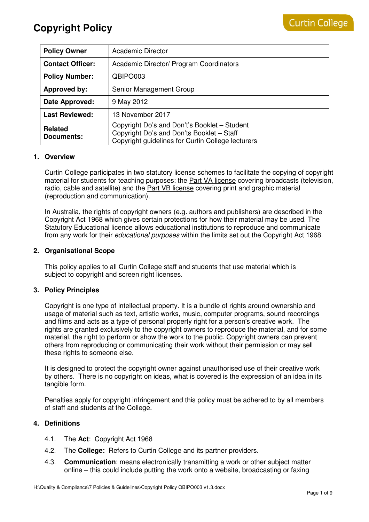| <b>Policy Owner</b>          | <b>Academic Director</b>                                                                                                                       |
|------------------------------|------------------------------------------------------------------------------------------------------------------------------------------------|
| <b>Contact Officer:</b>      | Academic Director/ Program Coordinators                                                                                                        |
| <b>Policy Number:</b>        | QBIPO003                                                                                                                                       |
| Approved by:                 | Senior Management Group                                                                                                                        |
| Date Approved:               | 9 May 2012                                                                                                                                     |
| <b>Last Reviewed:</b>        | 13 November 2017                                                                                                                               |
| <b>Related</b><br>Documents: | Copyright Do's and Don't's Booklet - Student<br>Copyright Do's and Don'ts Booklet - Staff<br>Copyright guidelines for Curtin College lecturers |

### **1. Overview**

Curtin College participates in two statutory license schemes to facilitate the copying of copyright material for students for teaching purposes: the Part VA license covering broadcasts (television, radio, cable and satellite) and the Part VB license covering print and graphic material (reproduction and communication).

In Australia, the rights of copyright owners (e.g. authors and publishers) are described in the Copyright Act 1968 which gives certain protections for how their material may be used. The Statutory Educational licence allows educational institutions to reproduce and communicate from any work for their *educational purposes* within the limits set out the Copyright Act 1968.

## **2. Organisational Scope**

This policy applies to all Curtin College staff and students that use material which is subject to copyright and screen right licenses.

### **3. Policy Principles**

Copyright is one type of intellectual property. It is a bundle of rights around ownership and usage of material such as text, artistic works, music, computer programs, sound recordings and films and acts as a type of personal property right for a person's creative work. The rights are granted exclusively to the copyright owners to reproduce the material, and for some material, the right to perform or show the work to the public. Copyright owners can prevent others from reproducing or communicating their work without their permission or may sell these rights to someone else.

It is designed to protect the copyright owner against unauthorised use of their creative work by others. There is no copyright on ideas, what is covered is the expression of an idea in its tangible form.

Penalties apply for copyright infringement and this policy must be adhered to by all members of staff and students at the College.

## **4. Definitions**

- 4.1. The **Act**: Copyright Act 1968
- 4.2. The **College:** Refers to Curtin College and its partner providers.
- 4.3. **Communication**: means electronically transmitting a work or other subject matter online – this could include putting the work onto a website, broadcasting or faxing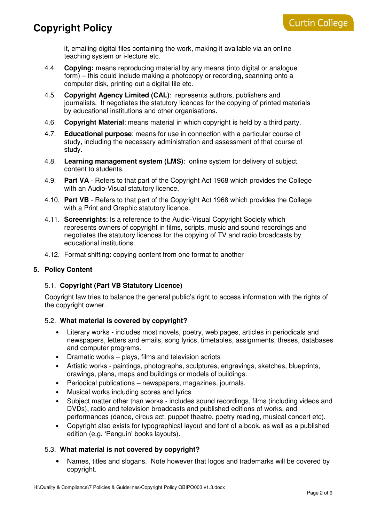it, emailing digital files containing the work, making it available via an online teaching system or i-lecture etc.

- 4.4. **Copying:** means reproducing material by any means (into digital or analogue form) – this could include making a photocopy or recording, scanning onto a computer disk, printing out a digital file etc.
- 4.5. **Copyright Agency Limited (CAL)**: represents authors, publishers and journalists. It negotiates the statutory licences for the copying of printed materials by educational institutions and other organisations.
- 4.6. **Copyright Material**: means material in which copyright is held by a third party.
- 4.7. **Educational purpose**: means for use in connection with a particular course of study, including the necessary administration and assessment of that course of study.
- 4.8. **Learning management system (LMS)**: online system for delivery of subject content to students.
- 4.9. **Part VA** Refers to that part of the Copyright Act 1968 which provides the College with an Audio-Visual statutory licence.
- 4.10. **Part VB** Refers to that part of the Copyright Act 1968 which provides the College with a Print and Graphic statutory licence.
- 4.11. **Screenrights**: Is a reference to the Audio-Visual Copyright Society which represents owners of copyright in films, scripts, music and sound recordings and negotiates the statutory licences for the copying of TV and radio broadcasts by educational institutions.
- 4.12. Format shifting: copying content from one format to another

### **5. Policy Content**

### 5.1. **Copyright (Part VB Statutory Licence)**

Copyright law tries to balance the general public's right to access information with the rights of the copyright owner.

### 5.2. **What material is covered by copyright?**

- Literary works includes most novels, poetry, web pages, articles in periodicals and newspapers, letters and emails, song lyrics, timetables, assignments, theses, databases and computer programs.
- Dramatic works plays, films and television scripts
- Artistic works paintings, photographs, sculptures, engravings, sketches, blueprints, drawings, plans, maps and buildings or models of buildings.
- Periodical publications newspapers, magazines, journals.
- Musical works including scores and lyrics
- Subject matter other than works includes sound recordings, films (including videos and DVDs), radio and television broadcasts and published editions of works, and performances (dance, circus act, puppet theatre, poetry reading, musical concert etc).
- Copyright also exists for typographical layout and font of a book, as well as a published edition (e.g. 'Penguin' books layouts).

## 5.3. **What material is not covered by copyright?**

• Names, titles and slogans. Note however that logos and trademarks will be covered by copyright.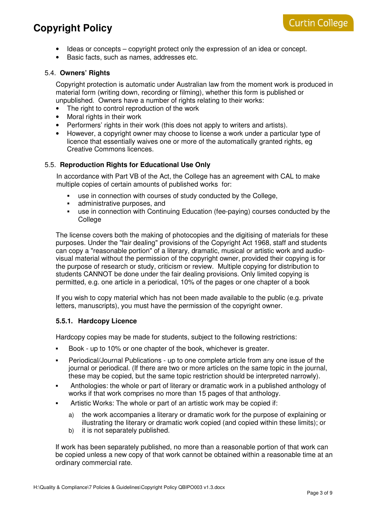- Ideas or concepts copyright protect only the expression of an idea or concept.
- Basic facts, such as names, addresses etc.

### 5.4. **Owners' Rights**

Copyright protection is automatic under Australian law from the moment work is produced in material form (writing down, recording or filming), whether this form is published or unpublished. Owners have a number of rights relating to their works:

- The right to control reproduction of the work
- Moral rights in their work
- Performers' rights in their work (this does not apply to writers and artists).
- However, a copyright owner may choose to license a work under a particular type of licence that essentially waives one or more of the automatically granted rights, eg Creative Commons licences.

## 5.5. **Reproduction Rights for Educational Use Only**

In accordance with Part VB of the Act, the College has an agreement with CAL to make multiple copies of certain amounts of published works for:

- use in connection with courses of study conducted by the College,
- administrative purposes, and
- use in connection with Continuing Education (fee-paying) courses conducted by the **College**

The license covers both the making of photocopies and the digitising of materials for these purposes. Under the "fair dealing" provisions of the Copyright Act 1968, staff and students can copy a "reasonable portion" of a literary, dramatic, musical or artistic work and audiovisual material without the permission of the copyright owner, provided their copying is for the purpose of research or study, criticism or review. Multiple copying for distribution to students CANNOT be done under the fair dealing provisions. Only limited copying is permitted, e.g. one article in a periodical, 10% of the pages or one chapter of a book

If you wish to copy material which has not been made available to the public (e.g. private letters, manuscripts), you must have the permission of the copyright owner.

### **5.5.1. Hardcopy Licence**

Hardcopy copies may be made for students, subject to the following restrictions:

- Book up to 10% or one chapter of the book, whichever is greater.
- Periodical/Journal Publications up to one complete article from any one issue of the journal or periodical. (If there are two or more articles on the same topic in the journal, these may be copied, but the same topic restriction should be interpreted narrowly).
- Anthologies: the whole or part of literary or dramatic work in a published anthology of works if that work comprises no more than 15 pages of that anthology.
- Artistic Works: The whole or part of an artistic work may be copied if:
	- a) the work accompanies a literary or dramatic work for the purpose of explaining or illustrating the literary or dramatic work copied (and copied within these limits); or
	- b) it is not separately published.

If work has been separately published, no more than a reasonable portion of that work can be copied unless a new copy of that work cannot be obtained within a reasonable time at an ordinary commercial rate.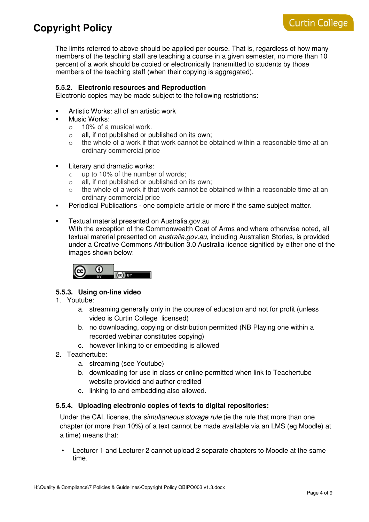The limits referred to above should be applied per course. That is, regardless of how many members of the teaching staff are teaching a course in a given semester, no more than 10 percent of a work should be copied or electronically transmitted to students by those members of the teaching staff (when their copying is aggregated).

## **5.5.2. Electronic resources and Reproduction**

Electronic copies may be made subject to the following restrictions:

- Artistic Works: all of an artistic work
- Music Works:
	- o 10% of a musical work.
	- o all, if not published or published on its own;
	- $\circ$  the whole of a work if that work cannot be obtained within a reasonable time at an ordinary commercial price
- **Literary and dramatic works:** 
	- o up to 10% of the number of words;
	- $\circ$  all, if not published or published on its own:
	- $\circ$  the whole of a work if that work cannot be obtained within a reasonable time at an ordinary commercial price
- Periodical Publications one complete article or more if the same subject matter.
- Textual material presented on Australia.gov.au With the exception of the Commonwealth Coat of Arms and where otherwise noted, all textual material presented on *australia.gov.au*, including Australian Stories, is provided under a Creative Commons Attribution 3.0 Australia licence signified by either one of the images shown below:

$$
\begin{array}{|c|c|}\n\hline\n\text{r} & \text{r} \\
\hline\n\text{r} & \text{r} \\
\hline\n\text{r} & \text{r}\n\end{array}
$$

## **5.5.3. Using on-line video**

- 1. Youtube:
	- a. streaming generally only in the course of education and not for profit (unless video is Curtin College licensed)
	- b. no downloading, copying or distribution permitted (NB Playing one within a recorded webinar constitutes copying)
	- c. however linking to or embedding is allowed
- 2. Teachertube:
	- a. streaming (see Youtube)
	- b. downloading for use in class or online permitted when link to Teachertube website provided and author credited
	- c. linking to and embedding also allowed.

### **5.5.4. Uploading electronic copies of texts to digital repositories:**

Under the CAL license, the *simultaneous storage rule* (ie the rule that more than one chapter (or more than 10%) of a text cannot be made available via an LMS (eg Moodle) at a time) means that:

• Lecturer 1 and Lecturer 2 cannot upload 2 separate chapters to Moodle at the same time.

**Curtin College**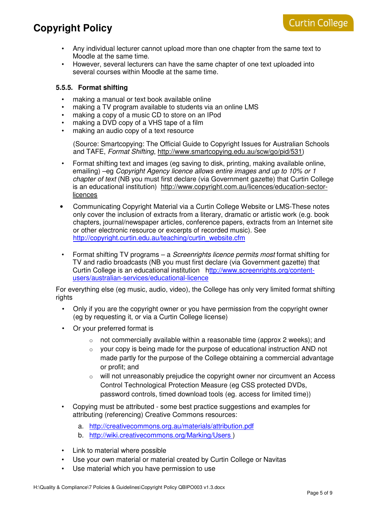- Any individual lecturer cannot upload more than one chapter from the same text to Moodle at the same time.
- However, several lecturers can have the same chapter of one text uploaded into several courses within Moodle at the same time.

### **5.5.5. Format shifting**

- making a manual or text book available online
- making a TV program available to students via an online LMS
- making a copy of a music CD to store on an IPod
- making a DVD copy of a VHS tape of a film
- making an audio copy of a text resource

(Source: Smartcopying: The Official Guide to Copyright Issues for Australian Schools and TAFE, Format Shifting, http://www.smartcopying.edu.au/scw/go/pid/531)

- Format shifting text and images (eg saving to disk, printing, making available online, emailing) –eg Copyright Agency licence allows entire images and up to 10% or 1 chapter of text (NB you must first declare (via Government gazette) that Curtin College is an educational institution) http://www.copyright.com.au/licences/education-sectorlicences
- Communicating Copyright Material via a Curtin College Website or LMS-These notes only cover the inclusion of extracts from a literary, dramatic or artistic work (e.g. book chapters, journal/newspaper articles, conference papers, extracts from an Internet site or other electronic resource or excerpts of recorded music). See http://copyright.curtin.edu.au/teaching/curtin\_website.cfm
- Format shifting TV programs a Screenrights licence permits most format shifting for TV and radio broadcasts (NB you must first declare (via Government gazette) that Curtin College is an educational institution http://www.screenrights.org/contentusers/australian-services/educational-licence

For everything else (eg music, audio, video), the College has only very limited format shifting rights

- Only if you are the copyright owner or you have permission from the copyright owner (eg by requesting it, or via a Curtin College license)
- Or your preferred format is
	- $\circ$  not commercially available within a reasonable time (approx 2 weeks); and
	- o your copy is being made for the purpose of educational instruction AND not made partly for the purpose of the College obtaining a commercial advantage or profit; and
	- o will not unreasonably prejudice the copyright owner nor circumvent an Access Control Technological Protection Measure (eg CSS protected DVDs, password controls, timed download tools (eg. access for limited time))
- Copying must be attributed some best practice suggestions and examples for attributing (referencing) Creative Commons resources:
	- a. http://creativecommons.org.au/materials/attribution.pdf
	- b. http://wiki.creativecommons.org/Marking/Users )
- Link to material where possible
- Use your own material or material created by Curtin College or Navitas
- Use material which you have permission to use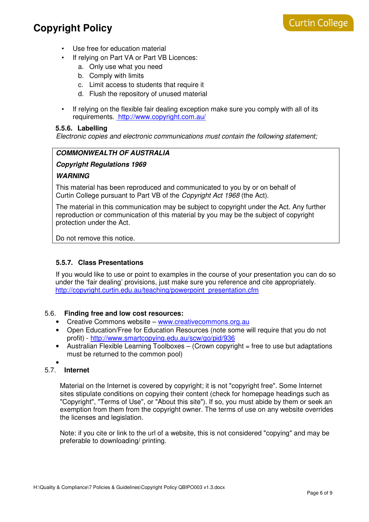- Use free for education material
- If relying on Part VA or Part VB Licences:
	- a. Only use what you need
	- b. Comply with limits
	- c. Limit access to students that require it
	- d. Flush the repository of unused material
- If relying on the flexible fair dealing exception make sure you comply with all of its requirements. http://www.copyright.com.au/

#### **5.5.6. Labelling**

Electronic copies and electronic communications must contain the following statement;

### **COMMONWEALTH OF AUSTRALIA**

#### **Copyright Regulations 1969**

#### **WARNING**

This material has been reproduced and communicated to you by or on behalf of Curtin College pursuant to Part VB of the Copyright Act 1968 (the Act).

The material in this communication may be subject to copyright under the Act. Any further reproduction or communication of this material by you may be the subject of copyright protection under the Act.

Do not remove this notice.

#### **5.5.7. Class Presentations**

 If you would like to use or point to examples in the course of your presentation you can do so under the 'fair dealing' provisions, just make sure you reference and cite appropriately. http://copyright.curtin.edu.au/teaching/powerpoint\_presentation.cfm

#### 5.6. **Finding free and low cost resources:**

- Creative Commons website www.creativecommons.org.au
- Open Education/Free for Education Resources (note some will require that you do not profit) - http://www.smartcopying.edu.au/scw/go/pid/936
- Australian Flexible Learning Toolboxes (Crown copyright  $=$  free to use but adaptations must be returned to the common pool)
- •

### 5.7. **Internet**

Material on the Internet is covered by copyright; it is not "copyright free". Some Internet sites stipulate conditions on copying their content (check for homepage headings such as "Copyright", "Terms of Use", or "About this site"). If so, you must abide by them or seek an exemption from them from the copyright owner. The terms of use on any website overrides the licenses and legislation.

Note: if you cite or link to the url of a website, this is not considered "copying" and may be preferable to downloading/ printing.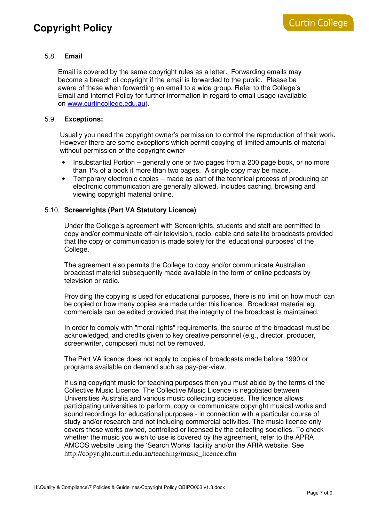### 5.8. **Email**

Email is covered by the same copyright rules as a letter. Forwarding emails may become a breach of copyright if the email is forwarded to the public. Please be aware of these when forwarding an email to a wide group. Refer to the College's Email and Internet Policy for further information in regard to email usage (available on www.curtincollege.edu.au).

### 5.9. **Exceptions:**

Usually you need the copyright owner's permission to control the reproduction of their work. However there are some exceptions which permit copying of limited amounts of material without permission of the copyright owner

- Insubstantial Portion generally one or two pages from a 200 page book, or no more than 1% of a book if more than two pages. A single copy may be made.
- Temporary electronic copies made as part of the technical process of producing an electronic communication are generally allowed. Includes caching, browsing and viewing copyright material online.

#### 5.10. **Screenrights (Part VA Statutory Licence)**

Under the College's agreement with Screenrights, students and staff are permitted to copy and/or communicate off-air television, radio, cable and satellite broadcasts provided that the copy or communication is made solely for the 'educational purposes' of the College.

The agreement also permits the College to copy and/or communicate Australian broadcast material subsequently made available in the form of online podcasts by television or radio.

Providing the copying is used for educational purposes, there is no limit on how much can be copied or how many copies are made under this licence. Broadcast material eg. commercials can be edited provided that the integrity of the broadcast is maintained.

In order to comply with "moral rights" requirements, the source of the broadcast must be acknowledged, and credits given to key creative personnel (e.g., director, producer, screenwriter, composer) must not be removed.

The Part VA licence does not apply to copies of broadcasts made before 1990 or programs available on demand such as pay-per-view.

If using copyright music for teaching purposes then you must abide by the terms of the Collective Music Licence. The Collective Music Licence is negotiated between Universities Australia and various music collecting societies. The licence allows participating universities to perform, copy or communicate copyright musical works and sound recordings for educational purposes - in connection with a particular course of study and/or research and not including commercial activities. The music licence only covers those works owned, controlled or licensed by the collecting societies. To check whether the music you wish to use is covered by the agreement, refer to the APRA AMCOS website using the 'Search Works' facility and/or the ARIA website. See http://copyright.curtin.edu.au/teaching/music\_licence.cfm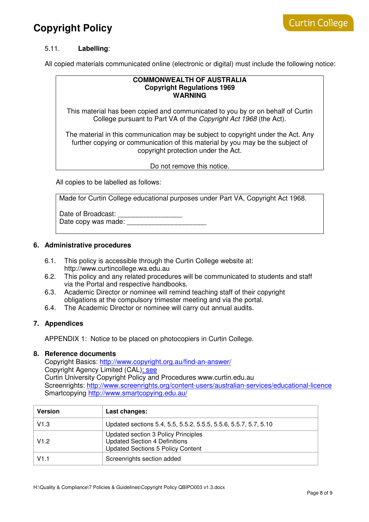## 5.11. **Labelling**:

All copied materials communicated online (electronic or digital) must include the following notice:

#### **COMMONWEALTH OF AUSTRALIA Copyright Regulations 1969 WARNING**

This material has been copied and communicated to you by or on behalf of Curtin College pursuant to Part VA of the Copyright Act 1968 (the Act).

The material in this communication may be subject to copyright under the Act. Any further copying or communication of this material by you may be the subject of copyright protection under the Act.

Do not remove this notice.

All copies to be labelled as follows:

Made for Curtin College educational purposes under Part VA, Copyright Act 1968.

Date of Broadcast: Date copy was made:

#### **6. Administrative procedures**

- 6.1. This policy is accessible through the Curtin College website at: http://www.curtincollege.wa.edu.au
- 6.2. This policy and any related procedures will be communicated to students and staff via the Portal and respective handbooks.
- 6.3. Academic Director or nominee will remind teaching staff of their copyright obligations at the compulsory trimester meeting and via the portal.
- 6.4. The Academic Director or nominee will carry out annual audits.

### **7. Appendices**

APPENDIX 1: Notice to be placed on photocopiers in Curtin College.

#### **8. Reference documents**

Copyright Basics: http://www.copyright.org.au/find-an-answer/ Copyright Agency Limited (CAL): see Curtin University Copyright Policy and Procedures www.curtin.edu.au Screenrights: http://www.screenrights.org/content-users/australian-services/educational-licence Smartcopying http://www.smartcopying.edu.au/

| <b>Version</b> | Last changes:                                                                                                           |
|----------------|-------------------------------------------------------------------------------------------------------------------------|
| V1.3           | Updated sections 5.4, 5.5, 5.5.2, 5.5.5, 5.5.6, 5.5.7, 5.7, 5.10                                                        |
| V1.2           | Updated section 3 Policy Principles<br><b>Updated Section 4 Definitions</b><br><b>Updated Sections 5 Policy Content</b> |
| V1.1           | Screenrights section added                                                                                              |